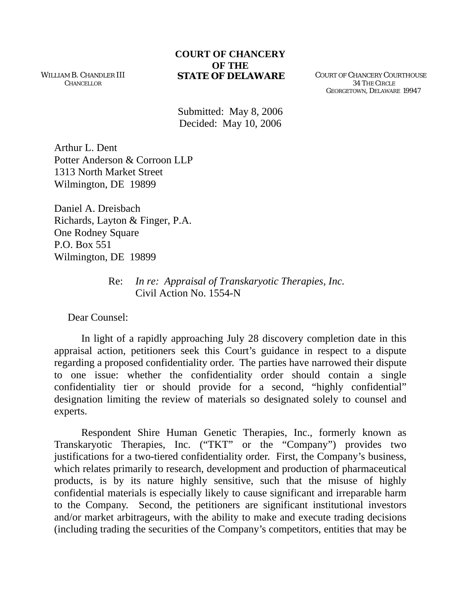## **COURT OF CHANCERY OF THE<br>STATE OF DELAWARE**

WILLIAM B. CHANDLER III **CHANCELLOR** 

**COURT OF CHANCERY COURTHOUSE**  34 THE CIRCLE GEORGETOWN, DELAWARE 19947

Submitted: May 8, 2006 Decided: May 10, 2006

Arthur L. Dent Potter Anderson & Corroon LLP 1313 North Market Street Wilmington, DE 19899

Daniel A. Dreisbach Richards, Layton & Finger, P.A. One Rodney Square P.O. Box 551 Wilmington, DE 19899

> Re: *In re: Appraisal of Transkaryotic Therapies, Inc.*  Civil Action No. 1554-N

Dear Counsel:

In light of a rapidly approaching July 28 discovery completion date in this appraisal action, petitioners seek this Court's guidance in respect to a dispute regarding a proposed confidentiality order. The parties have narrowed their dispute to one issue: whether the confidentiality order should contain a single confidentiality tier or should provide for a second, "highly confidential" designation limiting the review of materials so designated solely to counsel and experts.

Respondent Shire Human Genetic Therapies, Inc., formerly known as Transkaryotic Therapies, Inc. ("TKT" or the "Company") provides two justifications for a two-tiered confidentiality order. First, the Company's business, which relates primarily to research, development and production of pharmaceutical products, is by its nature highly sensitive, such that the misuse of highly confidential materials is especially likely to cause significant and irreparable harm to the Company. Second, the petitioners are significant institutional investors and/or market arbitrageurs, with the ability to make and execute trading decisions (including trading the securities of the Company's competitors, entities that may be